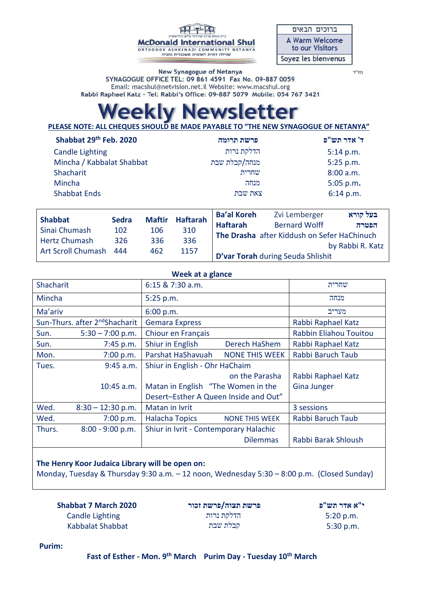**McDonald International Shul** ORTHODOX ASHKENAZI COMMUNITY NETANYA<br>קהילה דתית לאומית אשכנזית נתניה

| ברוכים הבאים                             |
|------------------------------------------|
| <b>A Warm Welcome</b><br>to our Visitors |
| Soyez les bienvenus                      |

בס"ד

New Synagogue of Netanya SYNAGOGUE OFFICE TEL: 09 861 4591 Fax No. 09-887 0059 Email: macshul@netvision.net.il Website: www.macshul.org Rabbi Raphael Katz - Tel: Rabbi's Office: 09-887 5079 Mobile: 054 767 3421

## *ewsletter* Veekiv N

**PLEASE NOTE: ALL CHEQUES SHOULD BE MADE PAYABLE TO "THE NEW SYNAGOGUE OF NETANYA"** 

| Shabbat 29th Feb. 2020    | פרשת תרומה    | ד' אדר תש"פ |
|---------------------------|---------------|-------------|
| <b>Candle Lighting</b>    | הדלקת נרות    | 5:14 p.m.   |
| Mincha / Kabbalat Shabbat | מנחה/קבלת שבת | 5:25 p.m.   |
| Shacharit                 | שחרית         | 8:00 a.m.   |
| Mincha                    | מנחה          | $5:05$ p.m. |
| <b>Shabbat Ends</b>       | צאת שבת       | 6:14 p.m.   |
|                           |               |             |

| <b>Shabbat</b>            | <b>Sedra</b> | <b>Maftir</b> | <b>Haftarah</b> | <b>Ba'al Koreh</b> | Zvi Lemberger                               | בעל קורא         |
|---------------------------|--------------|---------------|-----------------|--------------------|---------------------------------------------|------------------|
|                           |              |               |                 | <b>Haftarah</b>    | <b>Bernard Wolff</b>                        | הפטרה            |
| Sinai Chumash             | 102          | 106           | 310             |                    | The Drasha after Kiddush on Sefer HaChinuch |                  |
| <b>Hertz Chumash</b>      | 326          | 336           | 336             |                    |                                             |                  |
|                           |              |               |                 |                    |                                             | by Rabbi R. Katz |
| <b>Art Scroll Chumash</b> | 444          | 462           | 1157            |                    | D'var Torah during Seuda Shlishit           |                  |

| Week at a glance |                                            |                                        |                       |                        |  |
|------------------|--------------------------------------------|----------------------------------------|-----------------------|------------------------|--|
| Shacharit        |                                            | 6:15 & 7:30 a.m.                       |                       | שחרית                  |  |
| Mincha           |                                            | 5:25 p.m.                              |                       | מנחה                   |  |
| Ma'ariv          |                                            | 6:00 p.m.                              |                       | מעריב                  |  |
|                  | Sun-Thurs. after 2 <sup>nd</sup> Shacharit | <b>Gemara Express</b>                  |                       | Rabbi Raphael Katz     |  |
| Sun.             | $5:30 - 7:00$ p.m.                         | Chiour en Français                     |                       | Rabbin Eliahou Touitou |  |
| Sun.             | 7:45 p.m.                                  | Shiur in English                       | Derech HaShem         | Rabbi Raphael Katz     |  |
| Mon.             | 7:00 p.m.                                  | Parshat HaShavuah                      | <b>NONE THIS WEEK</b> | Rabbi Baruch Taub      |  |
| Tues.            | $9:45$ a.m.                                | Shiur in English - Ohr HaChaim         |                       |                        |  |
|                  |                                            |                                        | on the Parasha        | Rabbi Raphael Katz     |  |
|                  | $10:45$ a.m.                               | Matan in English "The Women in the     | <b>Gina Junger</b>    |                        |  |
|                  |                                            | Desert-Esther A Queen Inside and Out"  |                       |                        |  |
| Wed.             | $8:30 - 12:30$ p.m.                        | Matan in Ivrit                         |                       | 3 sessions             |  |
| Wed.             | 7:00 p.m.                                  | <b>Halacha Topics</b>                  | <b>NONE THIS WEEK</b> | Rabbi Baruch Taub      |  |
| Thurs.           | $8:00 - 9:00 p.m.$                         | Shiur in Ivrit - Contemporary Halachic |                       |                        |  |
|                  |                                            |                                        | <b>Dilemmas</b>       | Rabbi Barak Shloush    |  |

## **The Henry Koor Judaica Library will be open on:**

Monday, Tuesday & Thursday 9:30 a.m. – 12 noon, Wednesday 5:30 – 8:00 p.m. (Closed Sunday)

 **Shabbat 7 March 2020** Candle Lighting Kabbalat Shabbat

**פרשת תצוה/פרשת זכור** הדלקת נרות קבלת שבת

**י"א אדר תש"פ** 5:20 p.m. 5:30 p.m.

 **Purim:**